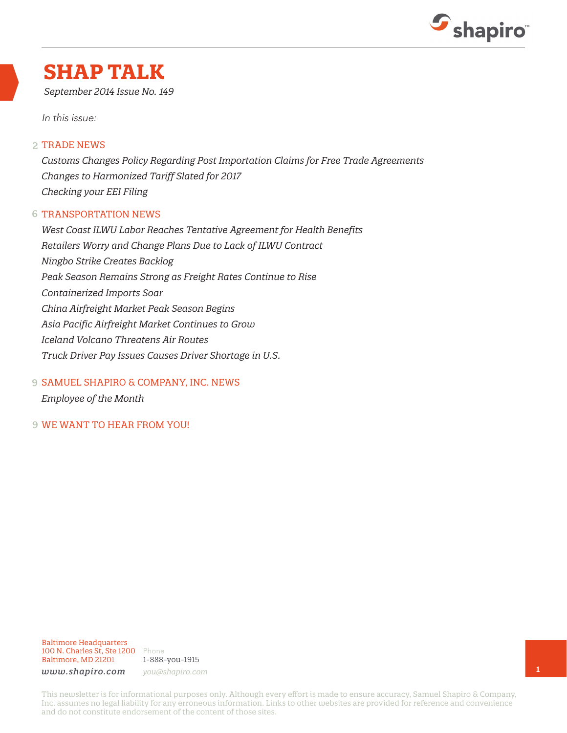

### **SHAP TALK**

*September 2014 Issue No. 149*

In this issue:

#### 2 TRADE NEWS

*Customs Changes Policy Regarding Post Importation Claims for Free Trade Agreements Changes to Harmonized Tariff Slated for 2017 Checking your EEI Filing*

#### 6 TRANSPORTATION NEWS

*West Coast ILWU Labor Reaches Tentative Agreement for Health Benefits Retailers Worry and Change Plans Due to Lack of ILWU Contract Ningbo Strike Creates Backlog Peak Season Remains Strong as Freight Rates Continue to Rise Containerized Imports Soar China Airfreight Market Peak Season Begins Asia Pacific Airfreight Market Continues to Grow Iceland Volcano Threatens Air Routes Truck Driver Pay Issues Causes Driver Shortage in U.S.*

SAMUEL SHAPIRO & COMPANY, INC. NEWS 9

*Employee of the Month*

9 WE WANT TO HEAR FROM YOU!

1-888-you-1915

*www.shapiro.com you@shapiro.com*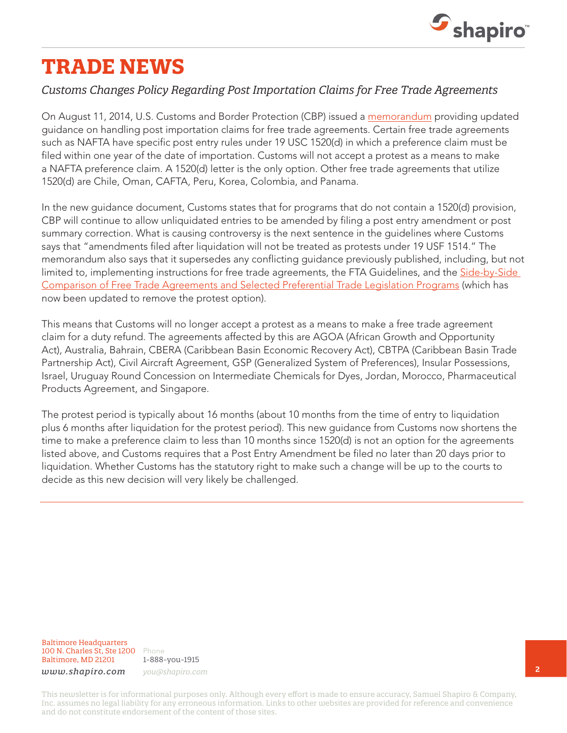

# **TRADE NEWS**

### *Customs Changes Policy Regarding Post Importation Claims for Free Trade Agreements*

On August 11, 2014, U.S. Customs and Border Protection (CBP) issued a [memorandum](http://www.cbp.gov/sites/default/files/documents/CSMS%20message_Post%20entry%20preference%20claims.pdf) providing updated guidance on handling post importation claims for free trade agreements. Certain free trade agreements such as NAFTA have specific post entry rules under 19 USC 1520(d) in which a preference claim must be filed within one year of the date of importation. Customs will not accept a protest as a means to make a NAFTA preference claim. A 1520(d) letter is the only option. Other free trade agreements that utilize 1520(d) are Chile, Oman, CAFTA, Peru, Korea, Colombia, and Panama.

In the new guidance document, Customs states that for programs that do not contain a 1520(d) provision, CBP will continue to allow unliquidated entries to be amended by filing a post entry amendment or post summary correction. What is causing controversy is the next sentence in the guidelines where Customs says that "amendments filed after liquidation will not be treated as protests under 19 USF 1514." The memorandum also says that it supersedes any conflicting guidance previously published, including, but not limited to, implementing instructions for free trade agreements, the FTA Guidelines, and the Side-by-Side [Comparison of Free Trade Agreements and Selected Preferential Trade Legislation Programs](http://www.cbp.gov/document/forms/side-side-comparison-free-trade-agreements-and-selected-preferential-trade) (which has now been updated to remove the protest option).

This means that Customs will no longer accept a protest as a means to make a free trade agreement claim for a duty refund. The agreements affected by this are AGOA (African Growth and Opportunity Act), Australia, Bahrain, CBERA (Caribbean Basin Economic Recovery Act), CBTPA (Caribbean Basin Trade Partnership Act), Civil Aircraft Agreement, GSP (Generalized System of Preferences), Insular Possessions, Israel, Uruguay Round Concession on Intermediate Chemicals for Dyes, Jordan, Morocco, Pharmaceutical Products Agreement, and Singapore.

The protest period is typically about 16 months (about 10 months from the time of entry to liquidation plus 6 months after liquidation for the protest period). This new guidance from Customs now shortens the time to make a preference claim to less than 10 months since 1520(d) is not an option for the agreements listed above, and Customs requires that a Post Entry Amendment be filed no later than 20 days prior to liquidation. Whether Customs has the statutory right to make such a change will be up to the courts to decide as this new decision will very likely be challenged.

Baltimore Headquarters 100 N. Charles St, Ste 1200 Phone Baltimore, MD 21201

1-888-you-1915 *www.shapiro.com you@shapiro.com*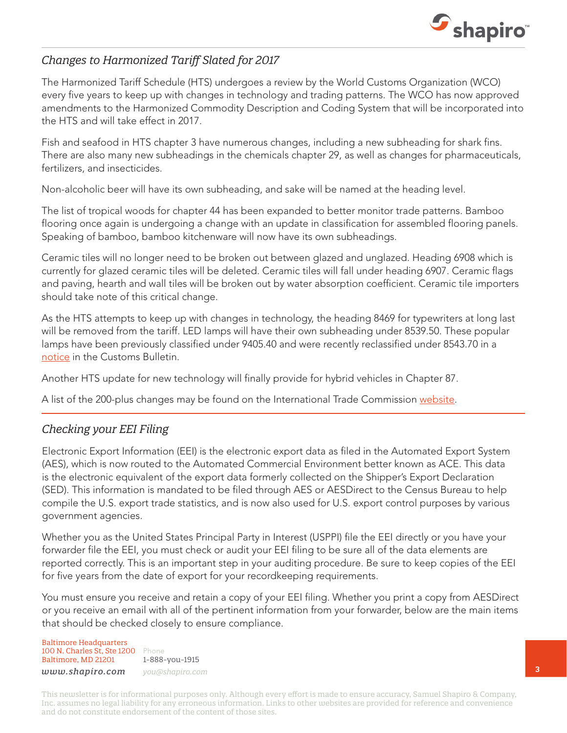

### *Changes to Harmonized Tariff Slated for 2017*

The Harmonized Tariff Schedule (HTS) undergoes a review by the World Customs Organization (WCO) every five years to keep up with changes in technology and trading patterns. The WCO has now approved amendments to the Harmonized Commodity Description and Coding System that will be incorporated into the HTS and will take effect in 2017.

Fish and seafood in HTS chapter 3 have numerous changes, including a new subheading for shark fins. There are also many new subheadings in the chemicals chapter 29, as well as changes for pharmaceuticals, fertilizers, and insecticides.

Non-alcoholic beer will have its own subheading, and sake will be named at the heading level.

The list of tropical woods for chapter 44 has been expanded to better monitor trade patterns. Bamboo flooring once again is undergoing a change with an update in classification for assembled flooring panels. Speaking of bamboo, bamboo kitchenware will now have its own subheadings.

Ceramic tiles will no longer need to be broken out between glazed and unglazed. Heading 6908 which is currently for glazed ceramic tiles will be deleted. Ceramic tiles will fall under heading 6907. Ceramic flags and paving, hearth and wall tiles will be broken out by water absorption coefficient. Ceramic tile importers should take note of this critical change.

As the HTS attempts to keep up with changes in technology, the heading 8469 for typewriters at long last will be removed from the tariff. LED lamps will have their own subheading under 8539.50. These popular lamps have been previously classified under 9405.40 and were recently reclassified under 8543.70 in a [notice](http://www.cbp.gov/sites/default/files/documents/Vol_48_No_26_Title.pdf) in the Customs Bulletin.

Another HTS update for new technology will finally provide for hybrid vehicles in Chapter 87.

A list of the 200-plus changes may be found on the International Trade Commission [website.](http://www.usitc.gov/tariff_affairs/WCORecommendationofJune272014.pdf)

### *Checking your EEI Filing*

Electronic Export Information (EEI) is the electronic export data as filed in the Automated Export System (AES), which is now routed to the Automated Commercial Environment better known as ACE. This data is the electronic equivalent of the export data formerly collected on the Shipper's Export Declaration (SED). This information is mandated to be filed through AES or AESDirect to the Census Bureau to help compile the U.S. export trade statistics, and is now also used for U.S. export control purposes by various government agencies.

Whether you as the United States Principal Party in Interest (USPPI) file the EEI directly or you have your forwarder file the EEI, you must check or audit your EEI filing to be sure all of the data elements are reported correctly. This is an important step in your auditing procedure. Be sure to keep copies of the EEI for five years from the date of export for your recordkeeping requirements.

You must ensure you receive and retain a copy of your EEI filing. Whether you print a copy from AESDirect or you receive an email with all of the pertinent information from your forwarder, below are the main items that should be checked closely to ensure compliance.

Baltimore Headquarters 100 N. Charles St, Ste 1200 Phone Baltimore, MD 21201 *www.shapiro.com you@shapiro.com*

1-888-you-1915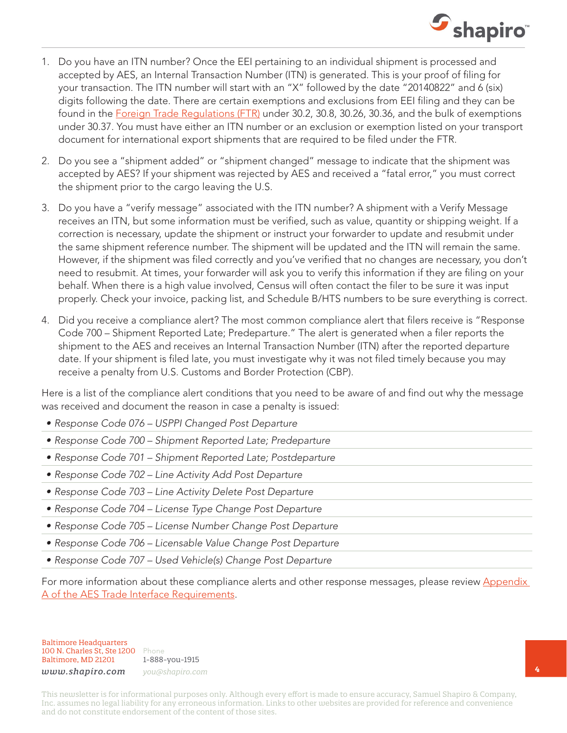

- 1. Do you have an ITN number? Once the EEI pertaining to an individual shipment is processed and accepted by AES, an Internal Transaction Number (ITN) is generated. This is your proof of filing for your transaction. The ITN number will start with an "X" followed by the date "20140822" and 6 (six) digits following the date. There are certain exemptions and exclusions from EEI filing and they can be found in the [Foreign Trade Regulations \(FTR\)](http://www.census.gov/foreign-trade/regulations/regs/regulations20130314-federalregister05435.pdf) under 30.2, 30.8, 30.26, 30.36, and the bulk of exemptions under 30.37. You must have either an ITN number or an exclusion or exemption listed on your transport document for international export shipments that are required to be filed under the FTR.
- 2. Do you see a "shipment added" or "shipment changed" message to indicate that the shipment was accepted by AES? If your shipment was rejected by AES and received a "fatal error," you must correct the shipment prior to the cargo leaving the U.S.
- 3. Do you have a "verify message" associated with the ITN number? A shipment with a Verify Message receives an ITN, but some information must be verified, such as value, quantity or shipping weight. If a correction is necessary, update the shipment or instruct your forwarder to update and resubmit under the same shipment reference number. The shipment will be updated and the ITN will remain the same. However, if the shipment was filed correctly and you've verified that no changes are necessary, you don't need to resubmit. At times, your forwarder will ask you to verify this information if they are filing on your behalf. When there is a high value involved, Census will often contact the filer to be sure it was input properly. Check your invoice, packing list, and Schedule B/HTS numbers to be sure everything is correct.
- 4. Did you receive a compliance alert? The most common compliance alert that filers receive is "Response Code 700 – Shipment Reported Late; Predeparture." The alert is generated when a filer reports the shipment to the AES and receives an Internal Transaction Number (ITN) after the reported departure date. If your shipment is filed late, you must investigate why it was not filed timely because you may receive a penalty from U.S. Customs and Border Protection (CBP).

Here is a list of the compliance alert conditions that you need to be aware of and find out why the message was received and document the reason in case a penalty is issued:

- Response Code 076 USPPI Changed Post Departure
- • Response Code 700 Shipment Reported Late; Predeparture
- Response Code 701 Shipment Reported Late; Postdeparture
- Response Code 702 Line Activity Add Post Departure
- Response Code 703 Line Activity Delete Post Departure
- Response Code 704 License Type Change Post Departure
- Response Code 705 License Number Change Post Departure
- Response Code 706 Licensable Value Change Post Departure
- Response Code 707 Used Vehicle(s) Change Post Departure

For more information about these compliance alerts and other response messages, please review Appendix [A of the AES Trade Interface Requirements.](http://www.cbp.gov/document/guidance/aestir-appendix-commodity-filing-response-messages)

Baltimore Headquarters 100 N. Charles St, Ste 1200 Phone Baltimore, MD 21201

1-888-you-1915 *www.shapiro.com you@shapiro.com*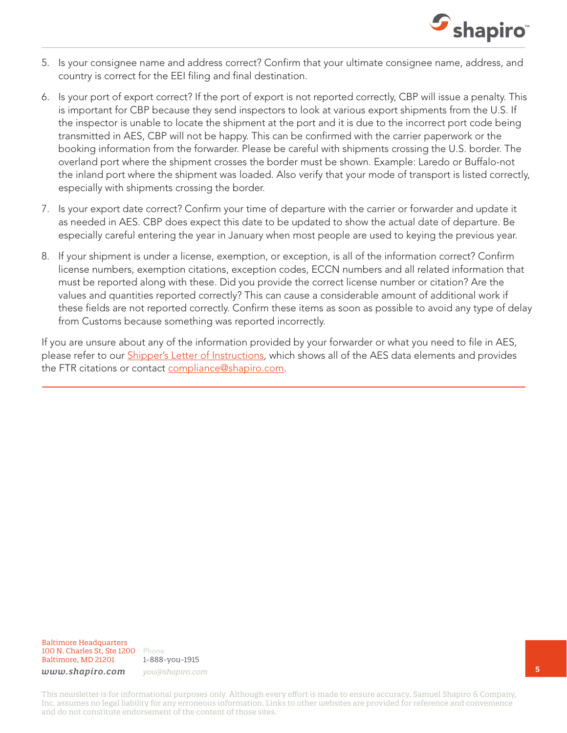

- 5. Is your consignee name and address correct? Confirm that your ultimate consignee name, address, and country is correct for the EEI filing and final destination.
- 6. Is your port of export correct? If the port of export is not reported correctly, CBP will issue a penalty. This is important for CBP because they send inspectors to look at various export shipments from the U.S. If the inspector is unable to locate the shipment at the port and it is due to the incorrect port code being transmitted in AES, CBP will not be happy. This can be confirmed with the carrier paperwork or the booking information from the forwarder. Please be careful with shipments crossing the U.S. border. The overland port where the shipment crosses the border must be shown. Example: Laredo or Buffalo-not the inland port where the shipment was loaded. Also verify that your mode of transport is listed correctly, especially with shipments crossing the border.
- 7. Is your export date correct? Confirm your time of departure with the carrier or forwarder and update it as needed in AES. CBP does expect this date to be updated to show the actual date of departure. Be especially careful entering the year in January when most people are used to keying the previous year.
- 8. If your shipment is under a license, exemption, or exception, is all of the information correct? Confirm license numbers, exemption citations, exception codes, ECCN numbers and all related information that must be reported along with these. Did you provide the correct license number or citation? Are the values and quantities reported correctly? This can cause a considerable amount of additional work if these fields are not reported correctly. Confirm these items as soon as possible to avoid any type of delay from Customs because something was reported incorrectly.

If you are unsure about any of the information provided by your forwarder or what you need to file in AES, please refer to our **[Shipper's Letter of Instructions](http://www.shapiro.com/assets/Shapiro-SLI-Instructions.pdf)**, which shows all of the AES data elements and provides the FTR citations or contact [compliance@shapiro.com.](mailto:mailto:compliance%40shapiro.com?subject=Checking%20your%20EEI%20Filing%20-%20Shap%20Talk%20September%202014%20)

Baltimore Headquarters 100 N. Charles St, Ste 1200 Phone Baltimore, MD 21201

1-888-you-1915 *www.shapiro.com you@shapiro.com*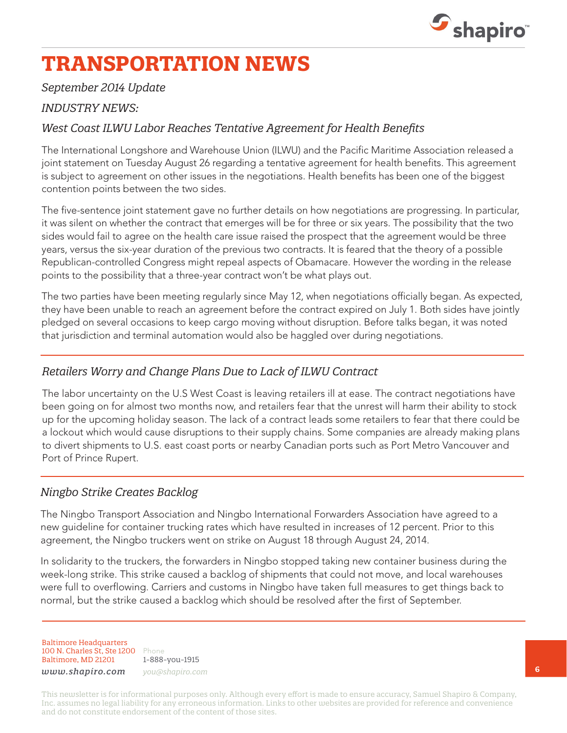

# **TRANSPORTATION NEWS**

### *September 2014 Update*

### *INDUSTRY NEWS:*

### *West Coast ILWU Labor Reaches Tentative Agreement for Health Benefits*

The International Longshore and Warehouse Union (ILWU) and the Pacific Maritime Association released a joint statement on Tuesday August 26 regarding a tentative agreement for health benefits. This agreement is subject to agreement on other issues in the negotiations. Health benefits has been one of the biggest contention points between the two sides.

The five-sentence joint statement gave no further details on how negotiations are progressing. In particular, it was silent on whether the contract that emerges will be for three or six years. The possibility that the two sides would fail to agree on the health care issue raised the prospect that the agreement would be three years, versus the six-year duration of the previous two contracts. It is feared that the theory of a possible Republican-controlled Congress might repeal aspects of Obamacare. However the wording in the release points to the possibility that a three-year contract won't be what plays out.

The two parties have been meeting regularly since May 12, when negotiations officially began. As expected, they have been unable to reach an agreement before the contract expired on July 1. Both sides have jointly pledged on several occasions to keep cargo moving without disruption. Before talks began, it was noted that jurisdiction and terminal automation would also be haggled over during negotiations.

### *Retailers Worry and Change Plans Due to Lack of ILWU Contract*

The labor uncertainty on the U.S West Coast is leaving retailers ill at ease. The contract negotiations have been going on for almost two months now, and retailers fear that the unrest will harm their ability to stock up for the upcoming holiday season. The lack of a contract leads some retailers to fear that there could be a lockout which would cause disruptions to their supply chains. Some companies are already making plans to divert shipments to U.S. east coast ports or nearby Canadian ports such as Port Metro Vancouver and Port of Prince Rupert.

### *Ningbo Strike Creates Backlog*

The Ningbo Transport Association and Ningbo International Forwarders Association have agreed to a new guideline for container trucking rates which have resulted in increases of 12 percent. Prior to this agreement, the Ningbo truckers went on strike on August 18 through August 24, 2014.

In solidarity to the truckers, the forwarders in Ningbo stopped taking new container business during the week-long strike. This strike caused a backlog of shipments that could not move, and local warehouses were full to overflowing. Carriers and customs in Ningbo have taken full measures to get things back to normal, but the strike caused a backlog which should be resolved after the first of September.

Baltimore Headquarters 100 N. Charles St, Ste 1200 Phone Baltimore, MD 21201

1-888-you-1915

*www.shapiro.com you@shapiro.com*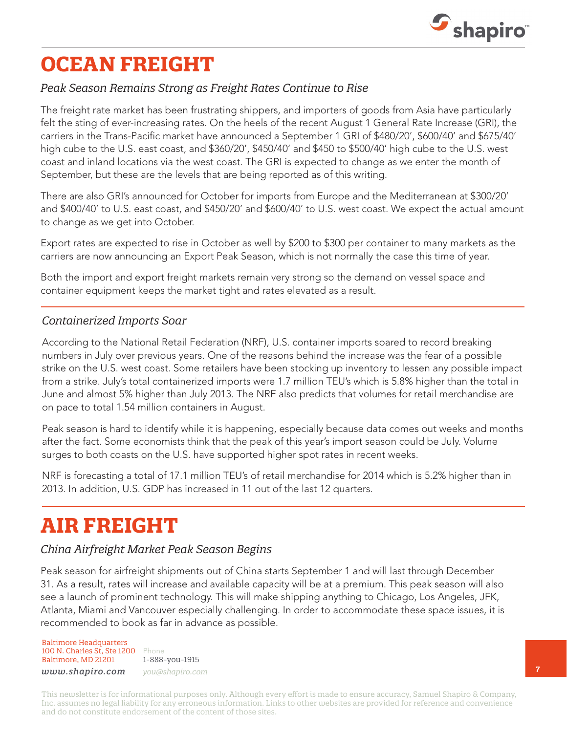

# **OCEAN FREIGHT**

### *Peak Season Remains Strong as Freight Rates Continue to Rise*

The freight rate market has been frustrating shippers, and importers of goods from Asia have particularly felt the sting of ever-increasing rates. On the heels of the recent August 1 General Rate Increase (GRI), the carriers in the Trans-Pacific market have announced a September 1 GRI of \$480/20', \$600/40' and \$675/40' high cube to the U.S. east coast, and \$360/20', \$450/40' and \$450 to \$500/40' high cube to the U.S. west coast and inland locations via the west coast. The GRI is expected to change as we enter the month of September, but these are the levels that are being reported as of this writing.

There are also GRI's announced for October for imports from Europe and the Mediterranean at \$300/20' and \$400/40' to U.S. east coast, and \$450/20' and \$600/40' to U.S. west coast. We expect the actual amount to change as we get into October.

Export rates are expected to rise in October as well by \$200 to \$300 per container to many markets as the carriers are now announcing an Export Peak Season, which is not normally the case this time of year.

Both the import and export freight markets remain very strong so the demand on vessel space and container equipment keeps the market tight and rates elevated as a result.

### *Containerized Imports Soar*

According to the National Retail Federation (NRF), U.S. container imports soared to record breaking numbers in July over previous years. One of the reasons behind the increase was the fear of a possible strike on the U.S. west coast. Some retailers have been stocking up inventory to lessen any possible impact from a strike. July's total containerized imports were 1.7 million TEU's which is 5.8% higher than the total in June and almost 5% higher than July 2013. The NRF also predicts that volumes for retail merchandise are on pace to total 1.54 million containers in August.

Peak season is hard to identify while it is happening, especially because data comes out weeks and months after the fact. Some economists think that the peak of this year's import season could be July. Volume surges to both coasts on the U.S. have supported higher spot rates in recent weeks.

NRF is forecasting a total of 17.1 million TEU's of retail merchandise for 2014 which is 5.2% higher than in 2013. In addition, U.S. GDP has increased in 11 out of the last 12 quarters.

### **AIR FREIGHT**

### *China Airfreight Market Peak Season Begins*

Peak season for airfreight shipments out of China starts September 1 and will last through December 31. As a result, rates will increase and available capacity will be at a premium. This peak season will also see a launch of prominent technology. This will make shipping anything to Chicago, Los Angeles, JFK, Atlanta, Miami and Vancouver especially challenging. In order to accommodate these space issues, it is recommended to book as far in advance as possible.

Baltimore Headquarters 100 N. Charles St, Ste 1200 Phone Baltimore, MD 21201

1-888-you-1915 *www.shapiro.com you@shapiro.com*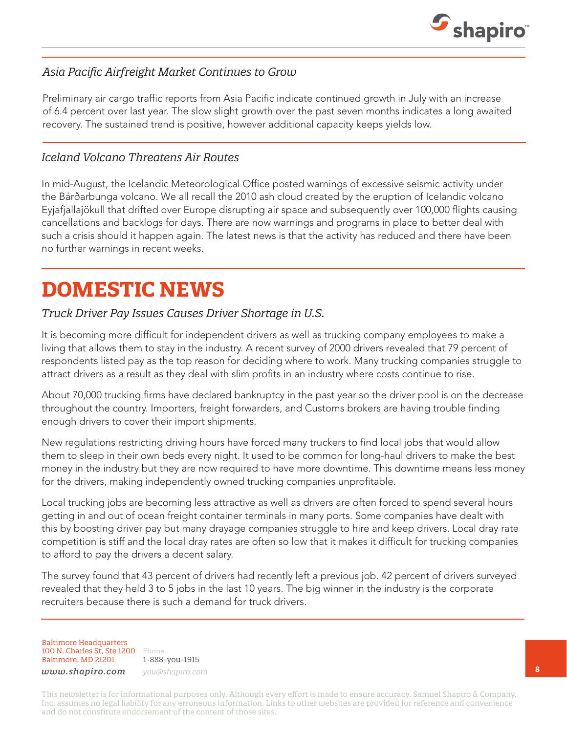

### *Asia Pacific Airfreight Market Continues to Grow*

Preliminary air cargo traffic reports from Asia Pacific indicate continued growth in July with an increase of 6.4 percent over last year. The slow slight growth over the past seven months indicates a long awaited recovery. The sustained trend is positive, however additional capacity keeps yields low.

### *Iceland Volcano Threatens Air Routes*

In mid-August, the Icelandic Meteorological Office posted warnings of excessive seismic activity under the Bárðarbunga volcano. We all recall the 2010 ash cloud created by the eruption of Icelandic volcano Eyjafjallajökull that drifted over Europe disrupting air space and subsequently over 100,000 flights causing cancellations and backlogs for days. There are now warnings and programs in place to better deal with such a crisis should it happen again. The latest news is that the activity has reduced and there have been no further warnings in recent weeks.

### **DOMESTIC NEWS**

### *Truck Driver Pay Issues Causes Driver Shortage in U.S.*

It is becoming more difficult for independent drivers as well as trucking company employees to make a living that allows them to stay in the industry. A recent survey of 2000 drivers revealed that 79 percent of respondents listed pay as the top reason for deciding where to work. Many trucking companies struggle to attract drivers as a result as they deal with slim profits in an industry where costs continue to rise.

About 70,000 trucking firms have declared bankruptcy in the past year so the driver pool is on the decrease throughout the country. Importers, freight forwarders, and Customs brokers are having trouble finding enough drivers to cover their import shipments.

New regulations restricting driving hours have forced many truckers to find local jobs that would allow them to sleep in their own beds every night. It used to be common for long-haul drivers to make the best money in the industry but they are now required to have more downtime. This downtime means less money for the drivers, making independently owned trucking companies unprofitable.

Local trucking jobs are becoming less attractive as well as drivers are often forced to spend several hours getting in and out of ocean freight container terminals in many ports. Some companies have dealt with this by boosting driver pay but many drayage companies struggle to hire and keep drivers. Local dray rate competition is stiff and the local dray rates are often so low that it makes it difficult for trucking companies to afford to pay the drivers a decent salary.

The survey found that 43 percent of drivers had recently left a previous job. 42 percent of drivers surveyed revealed that they held 3 to 5 jobs in the last 10 years. The big winner in the industry is the corporate recruiters because there is such a demand for truck drivers.

Baltimore Headquarters 100 N. Charles St, Ste 1200 Phone Baltimore, MD 21201

1-888-you-1915

*www.shapiro.com you@shapiro.com*